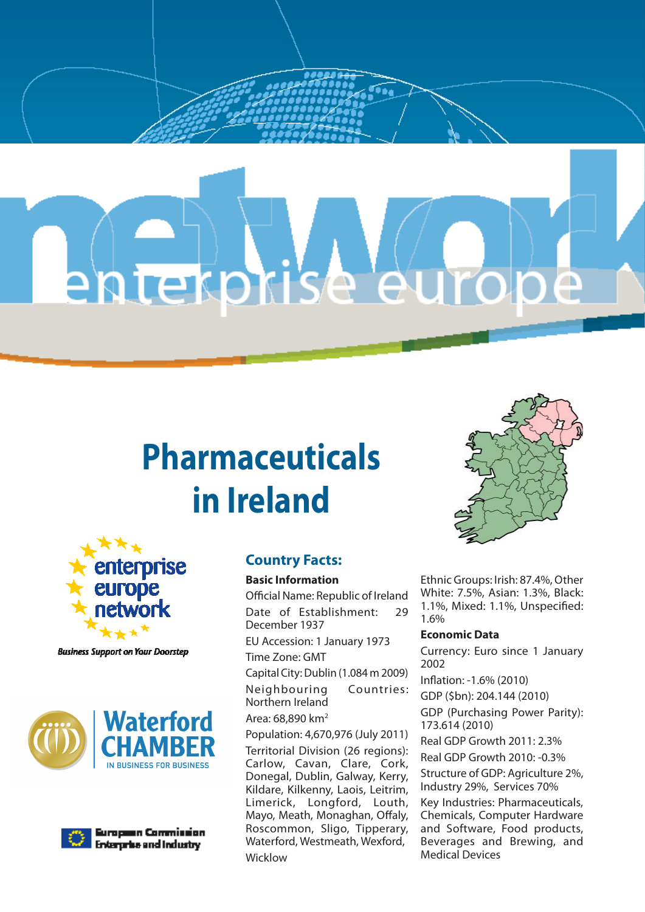# entekprise europe

# **Pharmaceuticals in Ireland**



**Business Support on Your Doorstep** 





European Commission. **Enterprise and Industry** 

# **Country Facts:**

#### **Basic Information**

Official Name: Republic of Ireland Date of Establishment: 29 December 1937 EU Accession: 1 January 1973 Time Zone: GMT Capital City: Dublin (1.084 m 2009) Neighbouring Countries: Northern Ireland Area: 68,890 km2 Population: 4,670,976 (July 2011) Territorial Division (26 regions): Carlow, Cavan, Clare, Cork, Donegal, Dublin, Galway, Kerry, Kildare, Kilkenny, Laois, Leitrim, Limerick, Longford, Louth, Mayo, Meath, Monaghan, Offaly, Roscommon, Sligo, Tipperary, Waterford, Westmeath, Wexford, Wicklow



Ethnic Groups: Irish: 87.4%, Other White: 7.5%, Asian: 1.3%, Black: 1.1%, Mixed: 1.1%, Unspecified: 1.6%

#### **Economic Data**

Currency: Euro since 1 January 2002 Inflation: -1.6% (2010) GDP (\$bn): 204.144 (2010) GDP (Purchasing Power Parity): 173.614 (2010) Real GDP Growth 2011: 2.3% Real GDP Growth 2010: -0.3% Structure of GDP: Agriculture 2%, Industry 29%, Services 70% Key Industries: Pharmaceuticals,

Chemicals, Computer Hardware and Software, Food products, Beverages and Brewing, and Medical Devices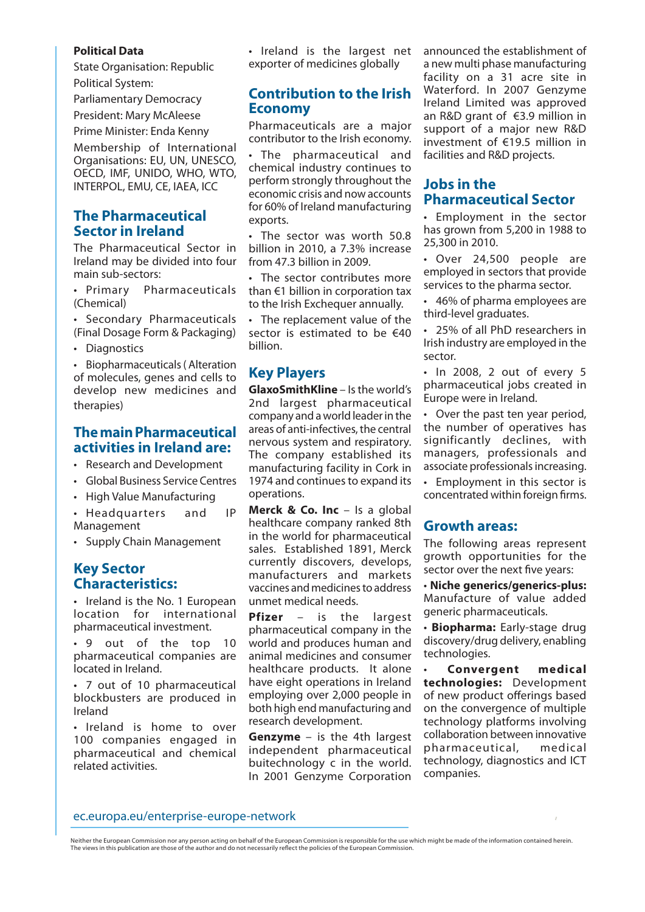#### **Political Data**

State Organisation: Republic Political System:

Parliamentary Democracy

President: Mary McAleese

Prime Minister: Enda Kenny Membership of International Organisations: EU, UN, UNESCO, OECD, IMF, UNIDO, WHO, WTO, INTERPOL, EMU, CE, IAEA, ICC

### **The Pharmaceutical Sector in Ireland**

The Pharmaceutical Sector in Ireland may be divided into four main sub-sectors:

• Primary Pharmaceuticals (Chemical)

• Secondary Pharmaceuticals (Final Dosage Form & Packaging)

• Diagnostics

• Biopharmaceuticals( Alteration of molecules, genes and cells to develop new medicines and therapies)

#### **The main Pharmaceutical activities in Ireland are:**

- • Research and Development
- • Global Business Service Centres
- • High Value Manufacturing
- Headquarters and IP Management
- • Supply Chain Management

# **Key Sector Characteristics:**

• Ireland is the No. 1 European location for international pharmaceutical investment.

• 9 out of the top 10 pharmaceutical companies are located in Ireland.

• 7 out of 10 pharmaceutical blockbusters are produced in Ireland

• Ireland is home to over 100 companies engaged in pharmaceutical and chemical related activities.

• Ireland is the largest net exporter of medicines globally

### **Contribution to the Irish Economy**

Pharmaceuticals are a major contributor to the Irish economy.

The pharmaceutical and chemical industry continues to perform strongly throughout the economic crisis and now accounts for 60% of Ireland manufacturing exports.

• The sector was worth 50.8 billion in 2010, a 7.3% increase from 47.3 billion in 2009.

• The sector contributes more than €1 billion in corporation tax to the Irish Exchequer annually.

• The replacement value of the sector is estimated to be €40 billion.

# **Key Players**

**GlaxoSmithKline** – Is the world's 2nd largest pharmaceutical company and a world leader in the areas of anti-infectives, the central nervous system and respiratory. The company established its manufacturing facility in Cork in 1974 and continues to expand its operations.

**Merck & Co. Inc** – Is a global healthcare company ranked 8th in the world for pharmaceutical sales. Established 1891, Merck currently discovers, develops, manufacturers and markets vaccines and medicines to address unmet medical needs.

**Pfizer** – is the largest pharmaceutical company in the world and produces human and animal medicines and consumer healthcare products. It alone have eight operations in Ireland employing over 2,000 people in both high end manufacturing and research development.

**Genzyme** – is the 4th largest independent pharmaceutical buitechnology c in the world. In 2001 Genzyme Corporation

announced the establishment of a new multi phase manufacturing facility on a 31 acre site in Waterford. In 2007 Genzyme Ireland Limited was approved an R&D grant of €3.9 million in support of a major new R&D investment of €19.5 million in facilities and R&D projects.

## **Jobs in the Pharmaceutical Sector**

• Employment in the sector has grown from 5,200 in 1988 to 25,300 in 2010.

• Over 24,500 people are employed in sectors that provide services to the pharma sector.

• 46% of pharma employees are third-level graduates.

• 25% of all PhD researchers in Irish industry are employed in the sector.

• In 2008, 2 out of every 5 pharmaceutical jobs created in Europe were in Ireland.

• Over the past ten year period, the number of operatives has significantly declines, with managers, professionals and associate professionals increasing.

• Employment in this sector is concentrated within foreign firms.

#### **Growth areas:**

The following areas represent growth opportunities for the sector over the next five years:

• **Niche generics/generics-plus:** Manufacture of value added generic pharmaceuticals.

• **Biopharma:** Early-stage drug discovery/drug delivery, enabling technologies.

• **Convergent medical technologies:** Development of new product offerings based on the convergence of multiple technology platforms involving collaboration between innovative pharmaceutical, medical technology, diagnostics and ICT companies.

#### ec.europa.eu/enterprise-europe-network

Neither the European Commission nor any person acting on behalf of the European Commission is responsible for the use which might be made of the information contained herein.<br>The views in this publication are those of the